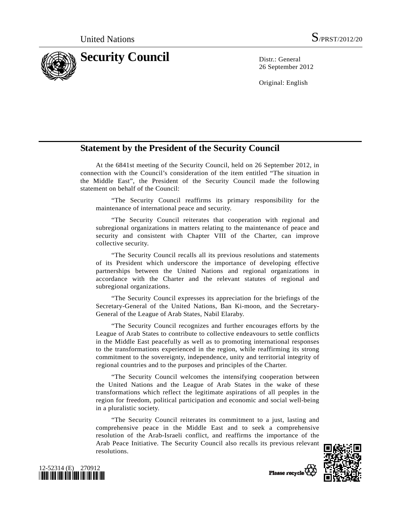

26 September 2012

Original: English

## **Statement by the President of the Security Council**

 At the 6841st meeting of the Security Council, held on 26 September 2012, in connection with the Council's consideration of the item entitled "The situation in the Middle East", the President of the Security Council made the following statement on behalf of the Council:

 "The Security Council reaffirms its primary responsibility for the maintenance of international peace and security.

 "The Security Council reiterates that cooperation with regional and subregional organizations in matters relating to the maintenance of peace and security and consistent with Chapter VIII of the Charter, can improve collective security.

 "The Security Council recalls all its previous resolutions and statements of its President which underscore the importance of developing effective partnerships between the United Nations and regional organizations in accordance with the Charter and the relevant statutes of regional and subregional organizations.

 "The Security Council expresses its appreciation for the briefings of the Secretary-General of the United Nations, Ban Ki-moon, and the Secretary-General of the League of Arab States, Nabil Elaraby.

 "The Security Council recognizes and further encourages efforts by the League of Arab States to contribute to collective endeavours to settle conflicts in the Middle East peacefully as well as to promoting international responses to the transformations experienced in the region, while reaffirming its strong commitment to the sovereignty, independence, unity and territorial integrity of regional countries and to the purposes and principles of the Charter.

 "The Security Council welcomes the intensifying cooperation between the United Nations and the League of Arab States in the wake of these transformations which reflect the legitimate aspirations of all peoples in the region for freedom, political participation and economic and social well-being in a pluralistic society.

 "The Security Council reiterates its commitment to a just, lasting and comprehensive peace in the Middle East and to seek a comprehensive resolution of the Arab-Israeli conflict, and reaffirms the importance of the Arab Peace Initiative. The Security Council also recalls its previous relevant resolutions.